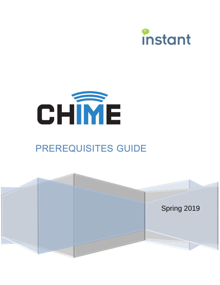



# PREREQUISITES GUIDE

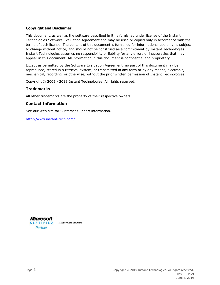#### **Copyright and Disclaimer**

This document, as well as the software described in it, is furnished under license of the Instant Technologies Software Evaluation Agreement and may be used or copied only in accordance with the terms of such license. The content of this document is furnished for informational use only, is subject to change without notice, and should not be construed as a commitment by Instant Technologies. Instant Technologies assumes no responsibility or liability for any errors or inaccuracies that may appear in this document. All information in this document is confidential and proprietary.

Except as permitted by the Software Evaluation Agreement, no part of this document may be reproduced, stored in a retrieval system, or transmitted in any form or by any means, electronic, mechanical, recording, or otherwise, without the prior written permission of Instant Technologies.

Copyright © 2005 - 2019 Instant Technologies, All rights reserved.

#### **Trademarks**

All other trademarks are the property of their respective owners.

#### **Contact Information**

See our Web site for Customer Support information.

<http://www.instant-tech.com/>



**ISV/Software Solutions**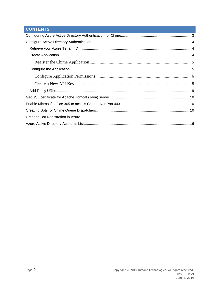## **CONTENTS**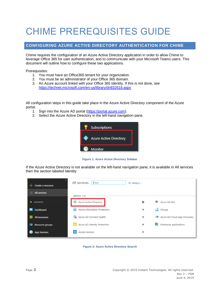## CHIME PREREQUISITES GUIDE

## <span id="page-3-0"></span>**CONFIGURING AZURE ACTIVE DIRECTORY AUTHENTICATION FOR CHIME**

Chime requires the configuration of an Azure Active Directory application in order to allow Chime to leverage Office 365 for user authentication, and to communicate with your Microsoft Teams users. This document will outline how to configure these two applications.

Prerequisites:

- 1. You must have an Office365 tenant for your organization.
- 2. You must be an administrator of your Office 365 domain.
- 3. An Azure account linked with your Office 365 Identity. If this is not done, see <https://technet.microsoft.com/en-us/library/dn832618.aspx>

All configuration steps in this guide take place in the Azure Active Directory component of the Azure portal.

- 1. Sign into the Azure AD portal [\(https://portal.azure.com\)](https://portal.azure.com/).
- 2. Select the Azure Active Directory in the left-hand navigation pane.



**Figure 1: Azure Active Directory Sidebar**

If the Azure Active Directory is not available on the left-hand navigation pane, it is available in All services then the section labeled Identity

| Create a resource          | All services<br>Filter             | By category $\vee$ |                                  |
|----------------------------|------------------------------------|--------------------|----------------------------------|
| $\frac{1}{2}$ All services | IDENTITY (13)                      |                    |                                  |
| <b>FAVORITES</b><br>*      | Azure Active Directory<br>89       | ☆                  | e de<br>Azure AD B2C             |
| Dashboard<br>н             | Azure Information Protection<br>ы  | ★                  | <b>SM</b> Groups                 |
| ₩.<br>All resources        | Azure AD Connect Health<br>œ.      | $^{\star}$         | All Azure AD Cloud App Discovery |
| Resource groups            | Azure AD Identity Protection<br> ⊛ | $^{\star}$         | 55<br>Enterprise applications    |
| App Services               | Access reviews<br> ◈               | ★                  |                                  |

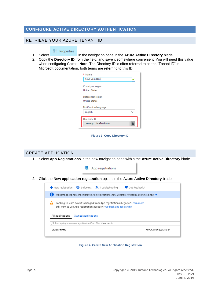## <span id="page-4-0"></span>**CONFIGURE ACTIVE DIRECTORY AUTHENTICATION**

## <span id="page-4-1"></span>RETRIEVE YOUR AZURE TENANT ID

### H Properties

- 1. Select in the navigation pane in the **Azure Active Directory** blade.
- 2. Copy the **Directory ID** from the field, and save it somewhere convenient. You will need this value when configuring Chime. **Note**: The Directory ID is often referred to as the "Tenant ID" in Microsoft documentation, both terms are referring to this ID.

| * Name                |
|-----------------------|
| <b>Your Company</b>   |
| Country or region     |
| <b>United States</b>  |
| Datacenter region     |
| <b>United States</b>  |
| Notification language |
| English               |
| Directory ID          |
| someguidvaluehere     |

**Figure 3: Copy Directory ID**

## <span id="page-4-2"></span>CREATE APPLICATION 1. Select **App Registrations** in the new navigation pane within the **Azure Active Directory** blade. **III** App registrations

2. Click the **New application registration** option in the **Azure Active Directory** blade.



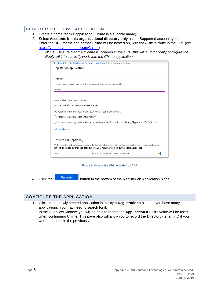## <span id="page-5-0"></span>REGISTER THE CHIME APPLICATION

- 1. Create a name for this application (Chime is a suitable name)
- 2. Select **Accounts in this organizational directory only** as the Supported account types
- 3. Enter the URL for the server that Chime will be hosted on, with the */Chime* route in the URL (ex: [https://yourserver.domain.com/Chime\)](https://yourserver.domain.com/Chime)

*NOTE: Be sure that the /Chime is included in the URL, this will automatically configure the Reply URL to correctly work with the Chime application*

| Dashboard > instant technologies - App registrations > Register an application                                                                                                                                             |
|----------------------------------------------------------------------------------------------------------------------------------------------------------------------------------------------------------------------------|
| Register an application                                                                                                                                                                                                    |
|                                                                                                                                                                                                                            |
| * Name                                                                                                                                                                                                                     |
| The user-facing display name for this application (this can be changed later).                                                                                                                                             |
| CHime                                                                                                                                                                                                                      |
|                                                                                                                                                                                                                            |
| Supported account types                                                                                                                                                                                                    |
| Who can use this application or access this API?                                                                                                                                                                           |
| ) Accounts in this organizational directory only (instant technologies)<br>۰                                                                                                                                               |
| Accounts in any organizational directory                                                                                                                                                                                   |
| Accounts in any organizational directory and personal Microsoft accounts (e.g. Skype, Xbox, Outlook.com)                                                                                                                   |
| Help me choose                                                                                                                                                                                                             |
|                                                                                                                                                                                                                            |
| Redirect URI (optional)                                                                                                                                                                                                    |
| We'll return the authentication response to this URI after successfully authenticating the user. Providing this now is<br>optional and it can be changed later, but a value is required for most authentication scenarios. |
| https://yourwebserver.domain.com/chime<br>Web<br>$\check{~}$                                                                                                                                                               |

**Figure 5: Create the Chime Web App / API**

4. Click the **Register** button in the bottom of the Register an Application blade.

## <span id="page-5-1"></span>CONFIGURE THE APPLICATION

- 1. Click on the newly created application in the **App Registrations** blade. If you have many applications, you may need to search for it.
- 2. In the Overview window, you will be able to record the **Application ID**. This value will be used when configuring Chime. This page also will allow you to record the Directory (tenant) ID if you were unable to in the previously.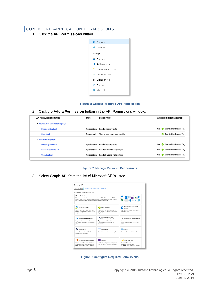## <span id="page-6-0"></span>CONFIGURE APPLICATION PERMISSIONS

1. Click the **API Permissions** button.



**Figure 6: Access Required API Permissions**

2. Click the **Add a Permission** button in the API Permissions window.

| <b>API / PERMISSIONS NAME</b>    | <b>TYPE</b> | <b>DESCRIPTION</b>            | <b>ADMIN CONSENT REQUIRED</b>                  |
|----------------------------------|-------------|-------------------------------|------------------------------------------------|
| Azure Active Directory Graph (2) |             |                               |                                                |
| Directory.Read.All               | Application | Read directory data           | <b>Granted for Instant Te</b><br>Yes<br>$\sim$ |
| User, Read                       | Delegated   | Sign in and read user profile | Granted for Instant Te<br>۰                    |
| Microsoft Graph (3)              |             |                               |                                                |
| Directory.Read.All               | Application | Read directory data           | Granted for Instant Te<br>Yes                  |
| <b>Group.ReadWrite.All</b>       | Application | Read and write all groups     | <b>Granted for Instant Te</b><br>Yes<br>$\sim$ |
| <b>User, Read, All</b>           | Application | Read all users' full profiles | <b>Granted for Instant Te</b><br>Yes<br>$\sim$ |
|                                  |             |                               |                                                |

#### **Figure 7: Manage Required Permissions**

3. Select **Graph API** from the list of Microsoft API's listed.

| Take advantage of the tremendous amount of data in Office 365. Enterprise Mobility +<br>Security, and Windows 10. Access Azure AD, Excel, Intune, Outlook/Exchange, OneDrive,<br>OneNote, SharePoint, Planner, and more through a single endpoint. |                                                                                                                       |
|----------------------------------------------------------------------------------------------------------------------------------------------------------------------------------------------------------------------------------------------------|-----------------------------------------------------------------------------------------------------------------------|
| <b>Azure Key Vault</b><br>Manage your key vaults as well as the<br>keys, secrets, and certificates within your<br>Key Vaults                                                                                                                       | <b>Azure Rights Management</b><br>Services<br>Allow validated users to read and write<br>protected content            |
| Data Export Service for<br><b>Microsoft Dynamics 365</b><br>Export data from Microsoft Dynamics<br>CRM organization to an external<br>destination                                                                                                  | Dynamics 365 Business Central<br>Programmatic access to data and<br>functionality in Dynamics 365 Business<br>Central |
| Flow Service<br>Embed flow templates and manage flows                                                                                                                                                                                              | Intune<br>Programmatic access to Intune data                                                                          |
| OneNote                                                                                                                                                                                                                                            | <b>Power BI Service</b><br>Programmatic access                                                                        |
|                                                                                                                                                                                                                                                    | Create and manage notes, lists, pictures,                                                                             |

**Figure 8: Configure Required Permissions**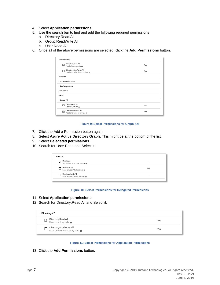- 4. Select **Application permissions**.
- 5. Use the search bar to find and add the following required permissions
	- a. Directory.Read.All
	- b. Group.ReadWrite.All
	- c. User.Read.All
- 6. Once all of the above permissions are selected, click the **Add Permissions** button.

| Directory (1)                                 |            |
|-----------------------------------------------|------------|
|                                               |            |
| Directory.Read.All<br>$\overline{\mathsf{v}}$ | Yes        |
| Read directory data @                         |            |
| Directory.ReadWrite.All                       | <b>Yes</b> |
| Read and write directory data @               |            |
| Domain                                        |            |
| EduAdministration                             |            |
| EduAssignments                                |            |
| ▶ EduRoster                                   |            |
| Files                                         |            |
| $\blacktriangledown$ Group (1)                |            |
| Group.Read.All                                | Yes        |
| Read all groups @                             |            |
| Group.ReadWrite.All                           |            |
| √<br>Read and write all groups @              | Yes        |

#### **Figure 9: Select Permissions for Graph Api**

- 7. Click the Add a Permission button again.
- 8. Select **Azure Active Directory Graph**. This might be at the bottom of the list.
- 9. Select **Delegated permissions**.
- 10. Search for User.Read and Select it.

|                         | $\blacktriangledown$ User (1)                          |                          |  |
|-------------------------|--------------------------------------------------------|--------------------------|--|
| $\overline{\mathsf{v}}$ | User.Read<br>Sign in and read user profile             | $\overline{\phantom{0}}$ |  |
|                         | User.Read.All<br>Read all users' full profiles @       | Yes                      |  |
|                         | User.ReadBasic.All<br>Read all users' basic profiles @ | $\blacksquare$           |  |
|                         |                                                        |                          |  |

#### **Figure 10: Select Permissions for Delegated Permissions**

- 11. Select **Application permissions**.
- 12. Search for Directory.Read.All and Select it.

| $\blacktriangledown$ Directory (1) |                                                                      |     |
|------------------------------------|----------------------------------------------------------------------|-----|
| $\blacktriangledown$               | Directory.Read.All<br>Read directory data                            | Yes |
|                                    | Directory.ReadWrite.All<br>Read and write directory data $\mathbf 0$ | Yes |



13. Click the **Add Permissions** button.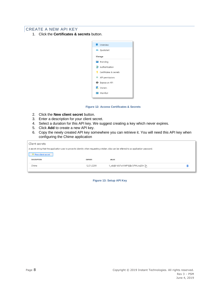## <span id="page-8-0"></span>CREATE A NEW API KEY

1. Click the **Certificates & secrets** button.



**Figure 12: Access Certificates & Secrets**

- 2. Click the **New client secret** button.
- 3. Enter a description for your client secret.
- 4. Select a duration for this API key. We suggest creating a key which never expires.
- 5. Click **Add** to create a new API key.
- 6. Copy the newly created API key somewhere you can retrieve it. You will need this API key when configuring the Chime application

| Client secrets                                                                                                                            |                |                                    |  |
|-------------------------------------------------------------------------------------------------------------------------------------------|----------------|------------------------------------|--|
| A secret string that the application uses to prove its identity when requesting a token. Also can be referred to as application password. |                |                                    |  |
| $+$ New client secret                                                                                                                     |                |                                    |  |
| <b>DESCRIPTION</b>                                                                                                                        | <b>EXPIRES</b> | VALUE                              |  |
| Chime                                                                                                                                     | 12/31/2299     | 1_xdz]6:*dUFscVX4P1[@z?JPMUrq33= [ |  |
|                                                                                                                                           |                |                                    |  |

**Figure 13: Setup API Key**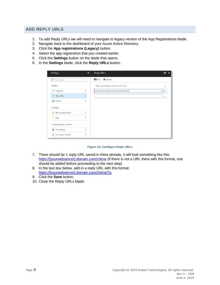## <span id="page-9-0"></span>ADD REPLY URLS

- 1. To add Reply URLs we will need to navigate to legacy version of the App Registrations blade.
- 2. Navigate back to the dashboard of your Azure Active Directory.
- 3. Click the **App registrations (Legacy)** button.
- 4. Select the app registration that you created earlier.
- 5. Click the **Settings** button on the blade that opens.
- 6. In the **Settings** blade, click the **Reply URLs** button.

| Settings<br>$\times$      | Reply URLs                                | $\times$<br>п |
|---------------------------|-------------------------------------------|---------------|
| $\rho$ Filter settings    | R Save X Discard                          |               |
| GENERAL                   | https://yourwebserver.domain.com/Chime    | $\cdots$      |
| HI Properties             | https://yourwebserver.domain.com/Chime/?a | цL            |
| <b>注 Reply URLs</b>       |                                           |               |
| <b>AM</b> Owners          |                                           |               |
| API ACCESS                |                                           |               |
| Required permissions      |                                           |               |
| Keys                      |                                           |               |
| TROUBLESHOOTING + SUPPORT |                                           |               |
| X Troubleshoot            |                                           |               |
| 3<br>New support request  |                                           |               |

#### **Figure 14: Configure Reply URLs**

- 7. There should be 1 reply URL saved in there already, it will look something like this: [https://\[yourwebserver\].domain.com/chime](https://[yourwebserver].domain.com/chime) (If there is not a URL there with this format, one should be added before proceeding to the next step)
- 8. In the text box below, add in a reply URL with this format: [https://\[yourwebserver\].domain.com/chime/?a](https://[yourwebserver].domain.com/chime/?a)
- 9. Click the **Save** button.
- 10. Close the Reply URLs blade.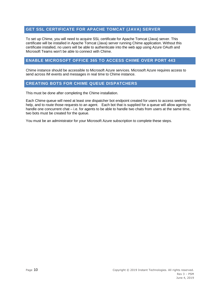## <span id="page-10-0"></span>**GET SSL CERTIFICATE FOR APACHE TOMCAT (JAVA) SERVER**

To set up Chime, you will need to acquire SSL certificate for Apache Tomcat (Java) server. This certificate will be installed in Apache Tomcat (Java) server running Chime application. Without this certificate installed, no users will be able to authenticate into the web app using Azure OAuth and Microsoft Teams won't be able to connect with Chime.

## <span id="page-10-1"></span>**ENABLE MICROSOFT OFFICE 365 TO ACCESS CHIME OVER PORT 443**

Chime instance should be accessible to Microsoft Azure services. Microsoft Azure requires access to send across IM events and messages in real time to Chime instance.

## <span id="page-10-2"></span>**CREATING BOTS FOR CHIME QUEUE DISPATCHERS**

This must be done after completing the Chime installation.

Each Chime queue will need at least one dispatcher bot endpoint created for users to access seeking help, and to route those requests to an agent. Each bot that is supplied for a queue will allow agents to handle one concurrent chat – i.e. for agents to be able to handle two chats from users at the same time, two bots must be created for the queue.

You must be an administrator for your Microsoft Azure subscription to complete these steps.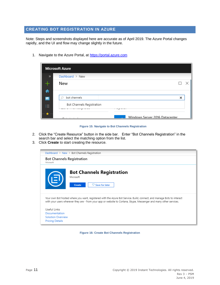## <span id="page-11-0"></span>**CREATING BOT REGISTRATION IN AZURE**

Note: Steps and screenshots displayed here are accurate as of April 2019. The Azure Portal changes rapidly, and the UI and flow may change slightly in the future.

1. Navigate to the Azure Portal, a[t https://portal.azure.com](https://portal.azure.com/)

|                                        | <b>Microsoft Azure</b>                     |   |  |
|----------------------------------------|--------------------------------------------|---|--|
| $\gg$                                  | Dashboard $\geq$ New                       |   |  |
|                                        | New                                        |   |  |
| A                                      |                                            |   |  |
| m.                                     | bot channels                               | × |  |
| . –<br>. –<br>$\overline{\phantom{a}}$ | Bot Channels Registration                  |   |  |
|                                        | $\cdots$<br>Windows Server 2016 Datacenter |   |  |

**Figure 15: Navigate to Bot Channels Registration**

- 2. Click the "Create Resource" button in the side bar. Enter "Bot Channels Registration" in the search bar and select the matching option from the list.
- 3. Click **Create** to start creating the resource.



**Figure 16: Create Bot Channels Registration**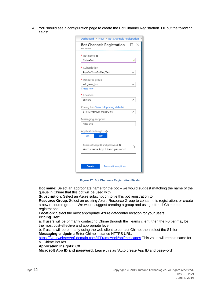4. You should see a configuration page to create the Bot Channel Registration. Fill out the following fields:

| * Bot name @                             |  |
|------------------------------------------|--|
| ChimeBot                                 |  |
| * Subscription                           |  |
| Pay-As-You-Go Dev/Test                   |  |
| Resource group                           |  |
| eric team bot                            |  |
| Create new                               |  |
| * Location                               |  |
| East US                                  |  |
| Pricing tier (View full pricing details) |  |
| S1 (1K Premium Msgs/Unit)                |  |
| Messaging endpoint                       |  |
| https URL                                |  |
| Application Insights @                   |  |
| On<br>Off                                |  |
|                                          |  |
| Microsoft App ID and password @          |  |
| Auto create App ID and password          |  |

**Figure 17: Bot Channels Registration Fields**

**Bot name:** Select an appropriate name for the bot – we would suggest matching the name of the queue in Chime that this bot will be used with

**Subscription:** Select an Azure subscription to tie this bot registration to.

**Resource Group**: Select an existing Azure Resource Group to contain this registration, or create a new resource group. We would suggest creating a group and using it for all Chime bot registrations.

**Location:** Select the most appropriate Azure datacenter location for your users.

#### **Pricing Tier:**

a. If users will be primarily contacting Chime through the Teams client, then the F0 tier may be the most cost-effective and appropriate level

b. If users will be primarily using the web client to contact Chime, then select the S1 tier. **Messaging endpoint:** Enter Chime instance HTTPS URL:

[https://\[yourwebserver\].domain.com/ITFramework/api/messages](https://[yourwebserver].domain.com/ITFramework/api/messages) This value will remain same for all Chime Bot Ids

#### **Application Insights:** Off

**Microsoft App ID and password:** Leave this as "Auto create App ID and password"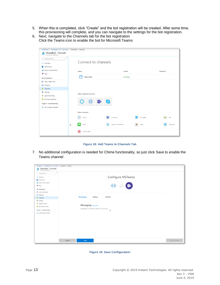- 5. When this is completed, click "Create" and the bot registration will be created. After some time, this provisioning will complete, and you can navigate to the settings for the bot registration.
- 6. Next, navigate to the Channels tab for the bot registration Click the Teams icon to enable the bot for Microsoft Teams

| Dashboard > ChimeBot2_77b - Overview > ChimeBot2 - Channels |                                 |                                             |             |  |
|-------------------------------------------------------------|---------------------------------|---------------------------------------------|-------------|--|
| ChimeBot2 - Channels<br>Bot Channels Registration           |                                 |                                             |             |  |
| $\ll$<br>O Search (Ctrl+/)                                  |                                 |                                             |             |  |
| ⊕<br>Overview                                               | Connect to channels             |                                             |             |  |
| Activity log<br>в                                           |                                 |                                             |             |  |
| alle<br>Access control (IAM)                                | Published<br>Health<br>Name     |                                             |             |  |
| Tags<br>∙                                                   |                                 |                                             |             |  |
| Bot management                                              | Web Chat<br>$\overline{\cdots}$ | Running                                     | $\sim$ $-$  |  |
| Test in Web Chat                                            |                                 |                                             |             |  |
| in Analytics                                                |                                 |                                             |             |  |
| Channels                                                    |                                 |                                             |             |  |
| Settings                                                    | Add a featured channel          |                                             |             |  |
| Speech priming                                              |                                 |                                             |             |  |
| <b>O</b> Bot Service pricing                                | $\bigoplus$<br><b>Fi</b> :      | S                                           |             |  |
| Support + troubleshooting                                   |                                 |                                             |             |  |
| New support request                                         |                                 |                                             |             |  |
|                                                             | More channels                   |                                             |             |  |
|                                                             | $\triangleright$<br>Email       | Facebook<br>GroupMe<br>÷                    | kik-<br>Kik |  |
|                                                             |                                 |                                             |             |  |
|                                                             | $\bullet$<br>$\beta$<br>LINE    | Skype for Business<br>$\mathbf{s}$<br>Slack | Telegram    |  |
|                                                             | ⊕<br>Twilio (SMS)               |                                             |             |  |

**Figure 18: Add Teams to Channels Tab**

7. No additional configuration is needed for Chime functionality, so just click Save to enable the Teams channel

| Dashboard > ChimeBot2_77b - Overview > ChimeBot2 - Channels |                                                       |
|-------------------------------------------------------------|-------------------------------------------------------|
| ChimeBot2 - Channels<br>Bot Channels Registration<br>۴      |                                                       |
| $\alpha$<br>O Search (Ctrl+/)                               |                                                       |
| @ Overview                                                  | Configure MSTeams                                     |
| Activity log                                                |                                                       |
| Access control (IAM)                                        |                                                       |
| $P$ Tags                                                    | ◆ ≓ 中                                                 |
| Bot management                                              |                                                       |
| Test in Web Chat                                            |                                                       |
| in Analytics                                                |                                                       |
| Channels                                                    | <b>Messaging</b><br>Calling<br>Publish                |
| <sup>2</sup> Settings                                       |                                                       |
| Speech priming                                              |                                                       |
| <b>O</b> Bot Service pricing                                | Messaging Learn more                                  |
| Support + troubleshooting                                   | Messaging is available by default for your bot.<br>ß, |
| New support request                                         |                                                       |
|                                                             |                                                       |
|                                                             |                                                       |
|                                                             |                                                       |
|                                                             |                                                       |
|                                                             |                                                       |
|                                                             |                                                       |
|                                                             |                                                       |
|                                                             |                                                       |
|                                                             | Delete Channel<br>Cancel<br>Save                      |

**Figure 19: Save Configuration**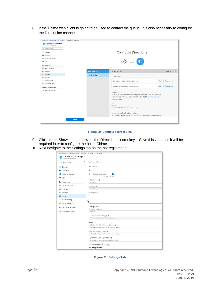8. If the Chime web client is going to be used to contact the queue, it is also necessary to configure the Direct Line channel

| $\ll$       |                     |                                                                                                                              |                                                                                                                                                                                                                                                                                                    |
|-------------|---------------------|------------------------------------------------------------------------------------------------------------------------------|----------------------------------------------------------------------------------------------------------------------------------------------------------------------------------------------------------------------------------------------------------------------------------------------------|
|             |                     |                                                                                                                              |                                                                                                                                                                                                                                                                                                    |
|             |                     |                                                                                                                              |                                                                                                                                                                                                                                                                                                    |
|             |                     |                                                                                                                              |                                                                                                                                                                                                                                                                                                    |
| <••>        |                     |                                                                                                                              |                                                                                                                                                                                                                                                                                                    |
|             |                     |                                                                                                                              |                                                                                                                                                                                                                                                                                                    |
|             |                     |                                                                                                                              |                                                                                                                                                                                                                                                                                                    |
|             | + Add new site      | Default Site $\mathcal{Q}$                                                                                                   | □ Disable   Ⅲ                                                                                                                                                                                                                                                                                      |
|             | <b>Default Site</b> |                                                                                                                              |                                                                                                                                                                                                                                                                                                    |
|             |                     |                                                                                                                              |                                                                                                                                                                                                                                                                                                    |
|             |                     | XXXXXXXXXXXXXXXXXXXXXXXXXXXXXXXXX                                                                                            | Show   Regenerate                                                                                                                                                                                                                                                                                  |
|             |                     |                                                                                                                              |                                                                                                                                                                                                                                                                                                    |
|             |                     | XXXXXXXXXXXXXXXXXXXXXXXXXXXXXXXXX                                                                                            | Show   Regenerate                                                                                                                                                                                                                                                                                  |
| <b>Done</b> |                     | Version<br>documentation.<br>$\leq$ 1.1<br>$\Xi$ 3.0<br>Block attachment upload from user<br>Enhanced authentication options |                                                                                                                                                                                                                                                                                                    |
|             |                     |                                                                                                                              | Configure Direct Line<br>$\bigoplus$<br>Secret keys<br>Select which versions of the Direct Line protocol are enabled on this site. More<br>information about these versions can be found in the Direct Line reference<br>For bots using Azure Bot Service authentication, enable tamper-proof user |

**Figure 20: Configure Direct Line**

- 9. Click on the Show button to reveal the Direct Line secret key. Save this value, as it will be required later to configure the bot in Chime.
- 10. Next navigate to the Settings tab on the bot registration.

| Dashboard > ChimeBot2_77b - Overview > ChimeBot2 - Settings |                                                                   |  |  |  |  |
|-------------------------------------------------------------|-------------------------------------------------------------------|--|--|--|--|
| ChimeBot2 - Settings<br>Bot Channels Registration           |                                                                   |  |  |  |  |
| «<br>Search (Ctrl+/)<br>$\circ$                             | X Discard<br>$H$ Save                                             |  |  |  |  |
| Overview                                                    | Bot profile                                                       |  |  |  |  |
| Activity log                                                | Icon                                                              |  |  |  |  |
| Access control (IAM)                                        | $\leftrightarrow$<br>▭<br>Upload custom icon<br>30K max, png only |  |  |  |  |
| Tags                                                        | * Display name <sup>®</sup>                                       |  |  |  |  |
| Bot management                                              | ChimeBot2                                                         |  |  |  |  |
| Test in Web Chat                                            |                                                                   |  |  |  |  |
| in Analytics                                                | Bot handle @<br>ChimeBot2                                         |  |  |  |  |
| Channels                                                    |                                                                   |  |  |  |  |
| @ Settings                                                  | Description @                                                     |  |  |  |  |
|                                                             |                                                                   |  |  |  |  |
| Speech priming<br>æ                                         | ß                                                                 |  |  |  |  |
| Bot Service pricing<br>О                                    |                                                                   |  |  |  |  |
| Support + troubleshooting                                   | Configuration<br>Messaging endpoint                               |  |  |  |  |
| New support request<br>a                                    | https URL                                                         |  |  |  |  |
| * Microsoft App ID (Manage) @                               |                                                                   |  |  |  |  |
|                                                             |                                                                   |  |  |  |  |
|                                                             | Analytics                                                         |  |  |  |  |
|                                                             | Application Insights Instrumentation key @                        |  |  |  |  |
|                                                             | Instrumentation key (Azure Application Insights key)              |  |  |  |  |
|                                                             | Application Insights API key @                                    |  |  |  |  |
|                                                             | API key (User-Generated Application Insights API key)             |  |  |  |  |
|                                                             | Application Insights Application ID @                             |  |  |  |  |
|                                                             | Application ID (Application Insights Application ID)              |  |  |  |  |
|                                                             | OAuth Connection Settings                                         |  |  |  |  |
|                                                             | No settings defined                                               |  |  |  |  |
|                                                             |                                                                   |  |  |  |  |

**Figure 21: Settings Tab**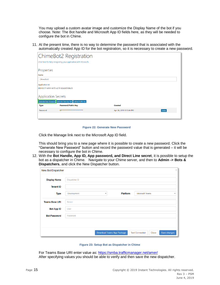You may upload a custom avatar image and customize the Display Name of the bot if you choose. Note: The Bot handle and Microsoft App ID fields here, as they will be needed to configure the bot in Chime.

11. At the present time, there is no way to determine the password that is associated with the automatically created App ID for the bot registration, so it is necessary to create a new password.

|                                                                         | ChimeBot2 Registration                                           |                         |        |
|-------------------------------------------------------------------------|------------------------------------------------------------------|-------------------------|--------|
|                                                                         | Click here for help integrating your application with Microsoft. |                         |        |
| Properties                                                              |                                                                  |                         |        |
| Name                                                                    |                                                                  |                         |        |
| ChimeBot2                                                               |                                                                  |                         |        |
| Application Id                                                          |                                                                  |                         |        |
| dcb12c17-e494-4e70-a215-b2a3e5136cc5                                    |                                                                  |                         |        |
| Application Secrets                                                     |                                                                  |                         |        |
| Generate New Key Pair Upload Public Key<br><b>Generate New Password</b> |                                                                  |                         |        |
| <b>Type</b>                                                             | Password/Public Key                                              | <b>Created</b>          |        |
| Password                                                                | fifeeeeeeeeee******************                                  | Apr 26, 2019 1:13:44 PM | Delete |
|                                                                         |                                                                  |                         |        |

**Figure 22: Generate New Password**

Click the Manage link next to the Microsoft App ID field.

This should bring you to a new page where it is possible to create a new password. Click the "Generate New Password" button and record the password value that is generated – it will be necessary to configure the bot in Chime.

12. With the **Bot Handle, App ID, App password, and Direct Line secret**, it is possible to setup the bot as a dispatcher in Chime. Navigate to your Chime server, and then to **Admin -> Bots & Dispatchers**, and click the New Dispatcher button.

| New Bot/Dispatcher    |               |                            |          |                                 | $\times$                  |
|-----------------------|---------------|----------------------------|----------|---------------------------------|---------------------------|
|                       |               |                            |          |                                 |                           |
| <b>Display Name</b>   | Dispatcher ID |                            |          |                                 |                           |
| <b>Tenant ID</b>      |               |                            |          |                                 |                           |
| <b>Type</b>           | Development   | v                          | Platform | <b>Microsoft Teams</b>          | $\boldsymbol{\mathrm{v}}$ |
| <b>Teams Base URI</b> | Server        |                            |          |                                 |                           |
| <b>Bot App ID</b>     | User          |                            |          |                                 |                           |
| <b>Bot Password</b>   | Password      |                            |          |                                 |                           |
|                       |               |                            |          |                                 |                           |
|                       |               |                            |          |                                 |                           |
|                       |               | Download Teams App Package |          | <b>Test Connection</b><br>Close | Save changes              |

**Figure 23: Setup Bot as Dispatcher in Chime**

For Teams Base URI enter value as:<https://smba.trafficmanager.net/amer/> After specifying values you should be able to verify and then save the new dispatcher.